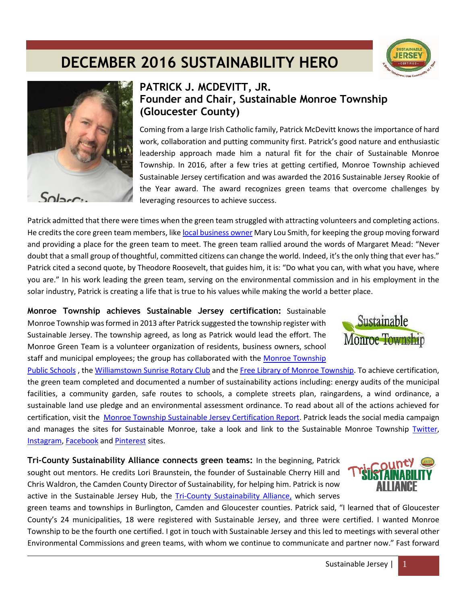## **DECEMBER 2016 SUSTAINABILITY HERO**





## **PATRICK J. MCDEVITT, JR. Founder and Chair, Sustainable Monroe Township (Gloucester County)**

Coming from a large Irish Catholic family, Patrick McDevitt knows the importance of hard work, collaboration and putting community first. Patrick's good nature and enthusiastic leadership approach made him a natural fit for the chair of Sustainable Monroe Township. In 2016, after a few tries at getting certified, Monroe Township achieved Sustainable Jersey certification and was awarded the 2016 Sustainable Jersey Rookie of the Year award. The award recognizes green teams that overcome challenges by leveraging resources to achieve success.

Patrick admitted that there were times when the green team struggled with attracting volunteers and completing actions. He credits the core green team members, lik[e local business owner](https://www.facebook.com/smithpowergroup) Mary Lou Smith, for keeping the group moving forward and providing a place for the green team to meet. The green team rallied around the words of Margaret Mead: "Never doubt that a small group of thoughtful, committed citizens can change the world. Indeed, it's the only thing that ever has." Patrick cited a second quote, by Theodore Roosevelt, that guides him, it is: "Do what you can, with what you have, where you are." In his work leading the green team, serving on the environmental commission and in his employment in the solar industry, Patrick is creating a life that is true to his values while making the world a better place.

**Monroe Township achieves Sustainable Jersey certification:** Sustainable Monroe Township was formed in 2013 after Patrick suggested the township register with Sustainable Jersey. The township agreed, as long as Patrick would lead the effort. The Monroe Green Team is a volunteer organization of residents, business owners, school staff and municipal employees; the group has collaborated with the [Monroe Township](http://www.monroetwp.k12.nj.us/) 

[Public Schools](http://www.monroetwp.k12.nj.us/) , th[e Williamstown Sunrise Rotary](https://www.facebook.com/williamstownsunrisefoundation/) Club and the [Free Library of Monroe Township.](http://www.monroetpl.org/index.html) To achieve certification, the green team completed and documented a number of sustainability actions including: energy audits of the municipal facilities, a community garden, safe routes to schools, a complete streets plan, raingardens, a wind ordinance, a sustainable land use pledge and an environmental assessment ordinance. To read about all of the actions achieved for certification, visit the [Monroe Township Sustainable Jersey Certification Report.](http://www.sustainablejersey.com/?type=1336777441&tx_sjcert_certification%5bcertification%5d%5b__identity%5d=466) Patrick leads the social media campaign and manages the sites for Sustainable Monroe, take a look and link to the Sustainable Monroe Township [Twitter,](https://twitter.com/monroegreenteam) [Instagram,](https://www.instagram.com/sustainablemonroe/) [Facebook](https://www.facebook.com/sustainablemonroe/?hc_ref=NEWSFEED) an[d Pinterest](https://www.pinterest.com/sustainableMT/) sites.

**Tri-County Sustainability Alliance connects green teams:** In the beginning, Patrick sought out mentors. He credits Lori Braunstein, the founder of Sustainable Cherry Hill and Chris Waldron, the Camden County Director of Sustainability, for helping him. Patrick is now active in the Sustainable Jersey Hub, the [Tri-County Sustainability Alliance,](https://www.facebook.com/TheTCSA/) which serves



green teams and townships in Burlington, Camden and Gloucester counties. Patrick said, "I learned that of Gloucester County's 24 municipalities, 18 were registered with Sustainable Jersey, and three were certified. I wanted Monroe Township to be the fourth one certified. I got in touch with Sustainable Jersey and this led to meetings with several other Environmental Commissions and green teams, with whom we continue to communicate and partner now." Fast forward

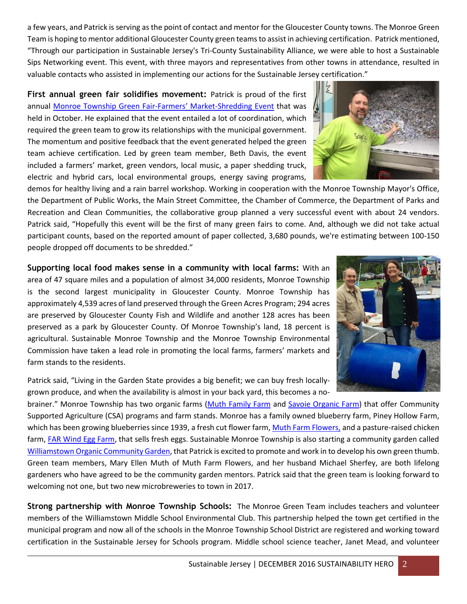a few years, and Patrick is serving as the point of contact and mentor for the Gloucester County towns. The Monroe Green Team is hoping to mentor additional Gloucester County green teamsto assist in achieving certification. Patrick mentioned, "Through our participation in Sustainable Jersey's Tri-County Sustainability Alliance, we were able to host a Sustainable Sips Networking event. This event, with three mayors and representatives from other towns in attendance, resulted in valuable contacts who assisted in implementing our actions for the Sustainable Jersey certification."

**First annual green fair solidifies movement:** Patrick is proud of the first annual [Monroe Township Green Fair-Farmers](http://monroetownshipnj.org/2016/08/monroe-township-1st-annual-green-fair-farmers-market)' Market-Shredding Event that was held in October. He explained that the event entailed a lot of coordination, which required the green team to grow its relationships with the municipal government. The momentum and positive feedback that the event generated helped the green team achieve certification. Led by green team member, Beth Davis, the event included a farmers' market, green vendors, local music, a paper shedding truck, electric and hybrid cars, local environmental groups, energy saving programs,

demos for healthy living and a rain barrel workshop. Working in cooperation with the Monroe Township Mayor's Office, the Department of Public Works, the Main Street Committee, the Chamber of Commerce, the Department of Parks and Recreation and Clean Communities, the collaborative group planned a very successful event with about 24 vendors. Patrick said, "Hopefully this event will be the first of many green fairs to come. And, although we did not take actual participant counts, based on the reported amount of paper collected, 3,680 pounds, we're estimating between 100-150 people dropped off documents to be shredded."

**Supporting local food makes sense in a community with local farms:** With an area of 47 square miles and a population of almost 34,000 residents, Monroe Township is the second largest municipality in Gloucester County. Monroe Township has approximately 4,539 acres of land preserved through the Green Acres Program; 294 acres are preserved by Gloucester County Fish and Wildlife and another 128 acres has been preserved as a park by Gloucester County. Of Monroe Township's land, 18 percent is agricultural. Sustainable Monroe Township and the Monroe Township Environmental Commission have taken a lead role in promoting the local farms, farmers' markets and farm stands to the residents.

Patrick said, "Living in the Garden State provides a big benefit; we can buy fresh locallygrown produce, and when the availability is almost in your back yard, this becomes a no-

brainer." Monroe Township has two organic farms [\(Muth Family Farm](http://www.muthfamilyfarm.com/) and [Savoie Organic Farm\)](http://www.savoieorganicfarm.com/) that offer Community Supported Agriculture (CSA) programs and farm stands. Monroe has a family owned blueberry farm, Piney Hollow Farm, which has been growing blueberries since 1939, a fresh cut flower farm, [Muth Farm Flowers,](http://www.muthfarmflowers.com/index.html) and a pasture-raised chicken farm[, FAR Wind Egg Farm,](file:///C:/Users/pmcdevitt/Downloads/pasture-raised%20chicken%20farm) that sells fresh eggs. Sustainable Monroe Township is also starting a community garden called [Williamstown Organic Community Garden,](https://www.facebook.com/williamstowncommunitygarden/) that Patrick is excited to promote and work in to develop his own green thumb. Green team members, Mary Ellen Muth of Muth Farm Flowers, and her husband Michael Sherfey, are both lifelong gardeners who have agreed to be the community garden mentors. Patrick said that the green team is looking forward to welcoming not one, but two new microbreweries to town in 2017.

**Strong partnership with Monroe Township Schools:** The Monroe Green Team includes teachers and volunteer members of the Williamstown Middle School Environmental Club. This partnership helped the town get certified in the municipal program and now all of the schools in the Monroe Township School District are registered and working toward certification in the Sustainable Jersey for Schools program. Middle school science teacher, Janet Mead, and volunteer